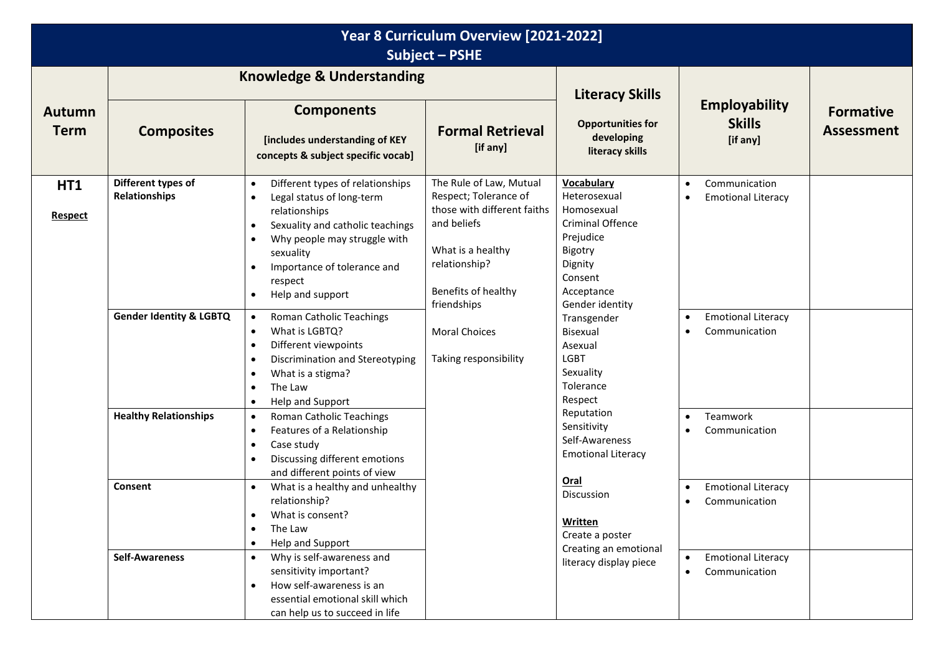| Year 8 Curriculum Overview [2021-2022]<br>Subject - PSHE |                                                                                                                                                                    |                                                                                                                                                                                                                                                                                                                                                                                     |                                                                                                                                                                            |                                                                                                                                                            |                                                                                                                                              |                                       |  |  |
|----------------------------------------------------------|--------------------------------------------------------------------------------------------------------------------------------------------------------------------|-------------------------------------------------------------------------------------------------------------------------------------------------------------------------------------------------------------------------------------------------------------------------------------------------------------------------------------------------------------------------------------|----------------------------------------------------------------------------------------------------------------------------------------------------------------------------|------------------------------------------------------------------------------------------------------------------------------------------------------------|----------------------------------------------------------------------------------------------------------------------------------------------|---------------------------------------|--|--|
|                                                          | <b>Knowledge &amp; Understanding</b>                                                                                                                               |                                                                                                                                                                                                                                                                                                                                                                                     |                                                                                                                                                                            | <b>Literacy Skills</b>                                                                                                                                     |                                                                                                                                              |                                       |  |  |
| <b>Autumn</b><br><b>Term</b>                             | <b>Composites</b>                                                                                                                                                  | <b>Components</b><br>[includes understanding of KEY<br>concepts & subject specific vocab]                                                                                                                                                                                                                                                                                           | <b>Formal Retrieval</b><br>[if any]                                                                                                                                        | <b>Opportunities for</b><br>developing<br>literacy skills                                                                                                  | <b>Employability</b><br><b>Skills</b><br>[if any]                                                                                            | <b>Formative</b><br><b>Assessment</b> |  |  |
| HT1<br><b>Respect</b>                                    | Different types of<br>Relationships<br><b>Gender Identity &amp; LGBTQ</b>                                                                                          | Different types of relationships<br>$\bullet$<br>Legal status of long-term<br>$\bullet$<br>relationships<br>Sexuality and catholic teachings<br>$\bullet$<br>Why people may struggle with<br>$\bullet$<br>sexuality<br>Importance of tolerance and<br>$\bullet$<br>respect<br>Help and support<br>$\bullet$<br>Roman Catholic Teachings<br>$\bullet$<br>What is LGBTQ?<br>$\bullet$ | The Rule of Law, Mutual<br>Respect; Tolerance of<br>those with different faiths<br>and beliefs<br>What is a healthy<br>relationship?<br>Benefits of healthy<br>friendships | Vocabulary<br>Heterosexual<br>Homosexual<br>Criminal Offence<br>Prejudice<br>Bigotry<br>Dignity<br>Consent<br>Acceptance<br>Gender identity<br>Transgender | Communication<br>$\bullet$<br><b>Emotional Literacy</b><br>$\bullet$<br><b>Emotional Literacy</b><br>$\bullet$<br>Communication<br>$\bullet$ |                                       |  |  |
|                                                          | <b>Healthy Relationships</b>                                                                                                                                       | Different viewpoints<br>$\bullet$<br>Discrimination and Stereotyping<br>$\bullet$<br>What is a stigma?<br>$\bullet$<br>The Law<br>$\bullet$<br>Help and Support<br>$\bullet$<br>Roman Catholic Teachings<br>$\bullet$<br>Features of a Relationship                                                                                                                                 | <b>Moral Choices</b><br>Taking responsibility                                                                                                                              | Bisexual<br>Asexual<br><b>LGBT</b><br>Sexuality<br>Tolerance<br>Respect<br>Reputation<br>Sensitivity                                                       | Teamwork<br>$\bullet$                                                                                                                        |                                       |  |  |
|                                                          |                                                                                                                                                                    | $\bullet$<br>Case study<br>$\bullet$<br>Discussing different emotions<br>$\bullet$<br>and different points of view                                                                                                                                                                                                                                                                  |                                                                                                                                                                            | Self-Awareness<br><b>Emotional Literacy</b>                                                                                                                | Communication<br>$\bullet$                                                                                                                   |                                       |  |  |
|                                                          | What is a healthy and unhealthy<br>Consent<br>$\bullet$<br>relationship?<br>What is consent?<br>$\bullet$<br>The Law<br>$\bullet$<br>Help and Support<br>$\bullet$ |                                                                                                                                                                                                                                                                                                                                                                                     | Oral<br>Discussion<br>Written<br>Create a poster                                                                                                                           | <b>Emotional Literacy</b><br>$\bullet$<br>Communication                                                                                                    |                                                                                                                                              |                                       |  |  |
|                                                          | <b>Self-Awareness</b>                                                                                                                                              | Why is self-awareness and<br>$\bullet$<br>sensitivity important?<br>How self-awareness is an<br>$\bullet$<br>essential emotional skill which<br>can help us to succeed in life                                                                                                                                                                                                      |                                                                                                                                                                            | Creating an emotional<br>literacy display piece                                                                                                            | <b>Emotional Literacy</b><br>$\bullet$<br>Communication<br>$\bullet$                                                                         |                                       |  |  |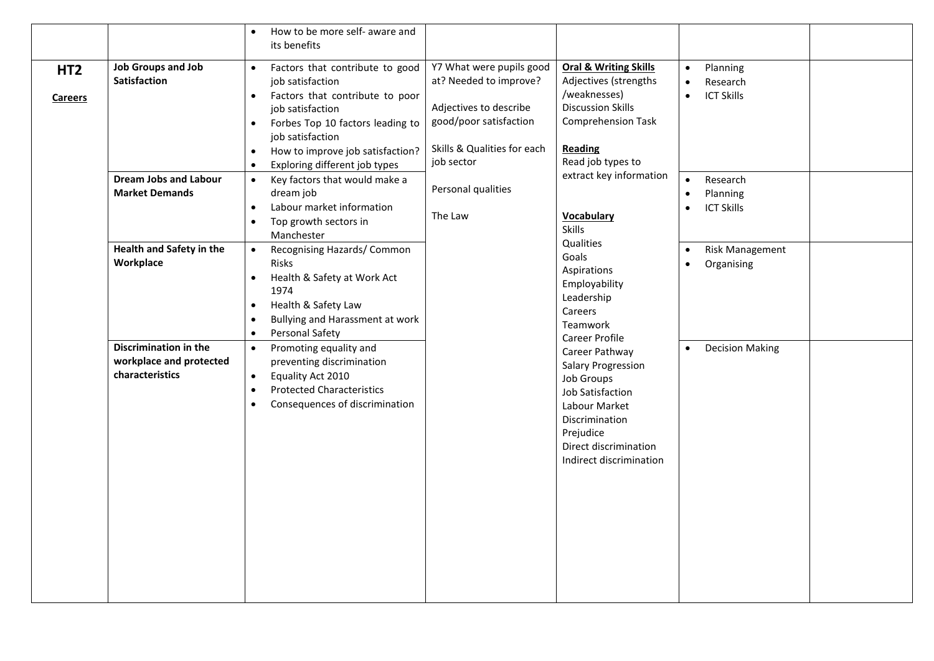|                 |                              | How to be more self- aware and                          |                             |                                  |                                |                        |  |
|-----------------|------------------------------|---------------------------------------------------------|-----------------------------|----------------------------------|--------------------------------|------------------------|--|
|                 |                              | its benefits                                            |                             |                                  |                                |                        |  |
| HT <sub>2</sub> | <b>Job Groups and Job</b>    | Factors that contribute to good<br>$\bullet$            | Y7 What were pupils good    | <b>Oral &amp; Writing Skills</b> | $\bullet$                      | Planning               |  |
|                 | <b>Satisfaction</b>          | job satisfaction                                        | at? Needed to improve?      | Adjectives (strengths            | $\bullet$                      | Research               |  |
| <b>Careers</b>  |                              | Factors that contribute to poor<br>$\bullet$            |                             | /weaknesses)                     | $\bullet$                      | <b>ICT Skills</b>      |  |
|                 |                              | job satisfaction                                        | Adjectives to describe      | <b>Discussion Skills</b>         |                                |                        |  |
|                 |                              | Forbes Top 10 factors leading to<br>$\bullet$           | good/poor satisfaction      | <b>Comprehension Task</b>        |                                |                        |  |
|                 |                              | job satisfaction                                        | Skills & Qualities for each | Reading                          |                                |                        |  |
|                 |                              | How to improve job satisfaction?<br>$\bullet$           | job sector                  | Read job types to                |                                |                        |  |
|                 |                              | Exploring different job types<br>$\bullet$              |                             | extract key information          |                                |                        |  |
|                 | <b>Dream Jobs and Labour</b> | Key factors that would make a<br>$\bullet$<br>dream job | Personal qualities          |                                  | $\bullet$                      | Research               |  |
|                 | <b>Market Demands</b>        | Labour market information<br>$\bullet$                  |                             |                                  | $\bullet$                      | Planning               |  |
|                 |                              | Top growth sectors in<br>$\bullet$                      | The Law                     | <b>Vocabulary</b>                | <b>ICT Skills</b><br>$\bullet$ |                        |  |
|                 |                              | Manchester                                              |                             | <b>Skills</b>                    |                                |                        |  |
|                 | Health and Safety in the     | Recognising Hazards/ Common<br>$\bullet$                |                             | Qualities                        | $\bullet$                      | Risk Management        |  |
|                 | Workplace                    | Risks                                                   |                             | Goals                            | $\bullet$                      | Organising             |  |
|                 |                              | Health & Safety at Work Act<br>$\bullet$                |                             | Aspirations                      |                                |                        |  |
|                 |                              | 1974                                                    |                             | Employability<br>Leadership      |                                |                        |  |
|                 |                              | Health & Safety Law<br>$\bullet$                        |                             | Careers                          |                                |                        |  |
|                 |                              | Bullying and Harassment at work<br>$\bullet$            |                             | Teamwork                         |                                |                        |  |
|                 |                              | Personal Safety<br>$\bullet$                            |                             | Career Profile                   |                                |                        |  |
|                 | <b>Discrimination in the</b> | Promoting equality and<br>$\bullet$                     |                             | Career Pathway                   | $\bullet$                      | <b>Decision Making</b> |  |
|                 | workplace and protected      | preventing discrimination                               |                             | Salary Progression               |                                |                        |  |
|                 | characteristics              | Equality Act 2010<br>$\bullet$                          |                             | Job Groups                       |                                |                        |  |
|                 |                              | <b>Protected Characteristics</b><br>$\bullet$           |                             | Job Satisfaction                 |                                |                        |  |
|                 |                              | Consequences of discrimination<br>$\bullet$             |                             | Labour Market                    |                                |                        |  |
|                 |                              |                                                         |                             | Discrimination                   |                                |                        |  |
|                 |                              |                                                         |                             | Prejudice                        |                                |                        |  |
|                 |                              |                                                         |                             | Direct discrimination            |                                |                        |  |
|                 |                              |                                                         |                             | Indirect discrimination          |                                |                        |  |
|                 |                              |                                                         |                             |                                  |                                |                        |  |
|                 |                              |                                                         |                             |                                  |                                |                        |  |
|                 |                              |                                                         |                             |                                  |                                |                        |  |
|                 |                              |                                                         |                             |                                  |                                |                        |  |
|                 |                              |                                                         |                             |                                  |                                |                        |  |
|                 |                              |                                                         |                             |                                  |                                |                        |  |
|                 |                              |                                                         |                             |                                  |                                |                        |  |
|                 |                              |                                                         |                             |                                  |                                |                        |  |
|                 |                              |                                                         |                             |                                  |                                |                        |  |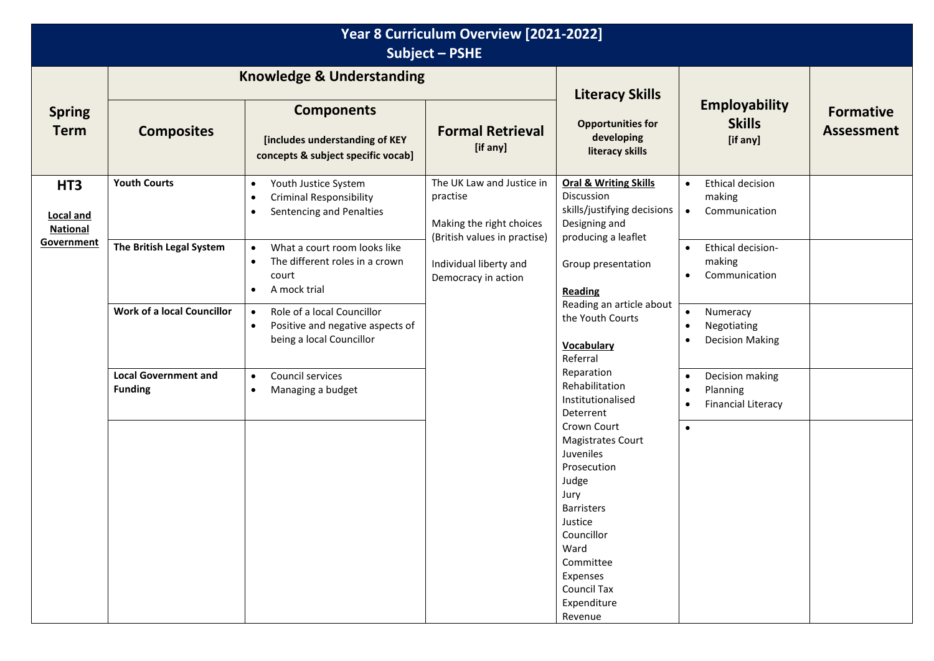| Year 8 Curriculum Overview [2021-2022]<br>Subject - PSHE |                                               |                                                                                                                                |                                                                                                          |                                                                                                                                                                                                                                                                                                                                              |                                                                                                                                                                                                                                                          |                                       |  |  |
|----------------------------------------------------------|-----------------------------------------------|--------------------------------------------------------------------------------------------------------------------------------|----------------------------------------------------------------------------------------------------------|----------------------------------------------------------------------------------------------------------------------------------------------------------------------------------------------------------------------------------------------------------------------------------------------------------------------------------------------|----------------------------------------------------------------------------------------------------------------------------------------------------------------------------------------------------------------------------------------------------------|---------------------------------------|--|--|
|                                                          |                                               | <b>Knowledge &amp; Understanding</b>                                                                                           |                                                                                                          | <b>Literacy Skills</b>                                                                                                                                                                                                                                                                                                                       | <b>Employability</b><br><b>Skills</b><br>[if any]                                                                                                                                                                                                        |                                       |  |  |
| <b>Spring</b><br><b>Term</b>                             | <b>Composites</b>                             | <b>Components</b><br>[includes understanding of KEY<br>concepts & subject specific vocab]                                      | <b>Formal Retrieval</b><br>[if any]                                                                      | <b>Opportunities for</b><br>developing<br>literacy skills                                                                                                                                                                                                                                                                                    |                                                                                                                                                                                                                                                          | <b>Formative</b><br><b>Assessment</b> |  |  |
| HT <sub>3</sub><br><b>Local and</b><br><b>National</b>   | <b>Youth Courts</b>                           | Youth Justice System<br>$\bullet$<br><b>Criminal Responsibility</b><br>$\bullet$<br>Sentencing and Penalties<br>$\bullet$      | The UK Law and Justice in<br>practise<br>Making the right choices<br>(British values in practise)        | <b>Oral &amp; Writing Skills</b><br>Discussion<br>skills/justifying decisions<br>Designing and<br>producing a leaflet                                                                                                                                                                                                                        | Ethical decision<br>$\bullet$<br>making<br>Communication<br>$\bullet$                                                                                                                                                                                    |                                       |  |  |
| Government                                               | The British Legal System                      | What a court room looks like<br>$\bullet$<br>The different roles in a crown<br>$\bullet$<br>court<br>A mock trial<br>$\bullet$ | Individual liberty and<br>Democracy in action<br>Referral<br>Judge<br>Jury<br>Justice<br>Ward<br>Revenue | Group presentation<br>Reading<br>Reading an article about<br>the Youth Courts<br><b>Vocabulary</b><br>Reparation<br>Rehabilitation<br>Institutionalised<br>Deterrent<br>Crown Court<br><b>Magistrates Court</b><br>Juveniles<br>Prosecution<br><b>Barristers</b><br>Councillor<br>Committee<br>Expenses<br><b>Council Tax</b><br>Expenditure | Ethical decision-<br>$\bullet$<br>making<br>Communication<br>$\bullet$<br>Numeracy<br>$\bullet$<br>Negotiating<br>$\bullet$<br><b>Decision Making</b><br>Decision making<br>$\bullet$<br>Planning<br>$\bullet$<br><b>Financial Literacy</b><br>$\bullet$ |                                       |  |  |
|                                                          | <b>Work of a local Councillor</b>             | Role of a local Councillor<br>$\bullet$<br>Positive and negative aspects of<br>$\bullet$<br>being a local Councillor           |                                                                                                          |                                                                                                                                                                                                                                                                                                                                              |                                                                                                                                                                                                                                                          |                                       |  |  |
|                                                          | <b>Local Government and</b><br><b>Funding</b> | Council services<br>$\bullet$<br>Managing a budget<br>$\bullet$                                                                |                                                                                                          |                                                                                                                                                                                                                                                                                                                                              |                                                                                                                                                                                                                                                          |                                       |  |  |
|                                                          |                                               |                                                                                                                                |                                                                                                          |                                                                                                                                                                                                                                                                                                                                              | $\bullet$                                                                                                                                                                                                                                                |                                       |  |  |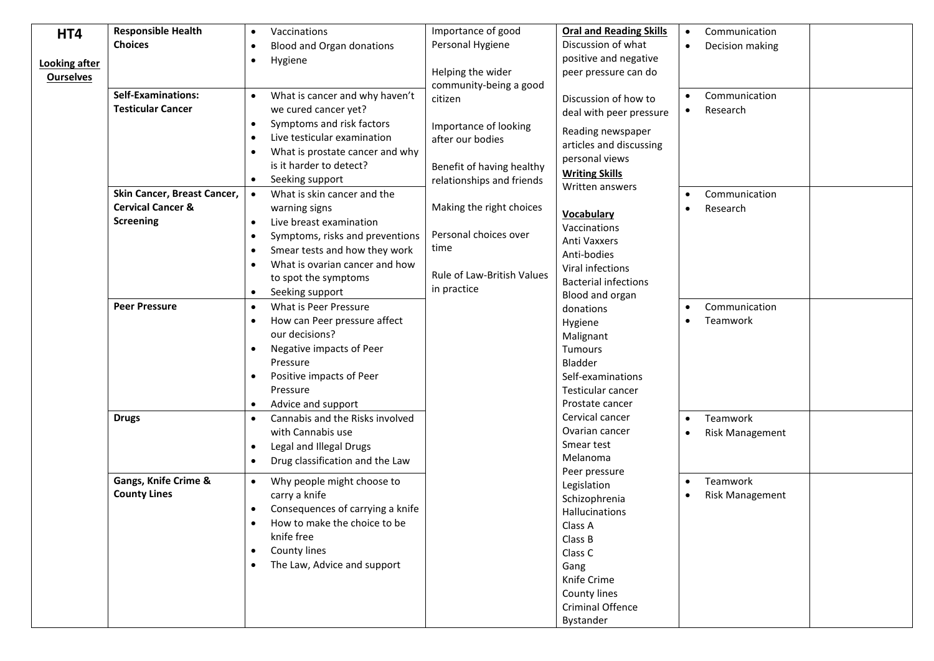| HT4                  | <b>Responsible Health</b>    | Vaccinations<br>$\bullet$                     | Importance of good                | <b>Oral and Reading Skills</b> | $\bullet$ | Communication          |  |
|----------------------|------------------------------|-----------------------------------------------|-----------------------------------|--------------------------------|-----------|------------------------|--|
|                      | <b>Choices</b>               | Blood and Organ donations<br>$\bullet$        | Personal Hygiene                  | Discussion of what             |           | Decision making        |  |
| <b>Looking after</b> |                              | Hygiene<br>$\bullet$                          |                                   | positive and negative          |           |                        |  |
| <b>Ourselves</b>     |                              |                                               | Helping the wider                 | peer pressure can do           |           |                        |  |
|                      |                              |                                               | community-being a good            |                                |           |                        |  |
|                      | <b>Self-Examinations:</b>    | What is cancer and why haven't<br>$\bullet$   | citizen                           | Discussion of how to           |           | Communication          |  |
|                      | <b>Testicular Cancer</b>     | we cured cancer yet?                          |                                   | deal with peer pressure        |           | Research               |  |
|                      |                              | Symptoms and risk factors<br>$\bullet$        | Importance of looking             | Reading newspaper              |           |                        |  |
|                      |                              | Live testicular examination<br>$\bullet$      | after our bodies                  | articles and discussing        |           |                        |  |
|                      |                              | What is prostate cancer and why<br>$\bullet$  |                                   | personal views                 |           |                        |  |
|                      |                              | is it harder to detect?                       | Benefit of having healthy         | <b>Writing Skills</b>          |           |                        |  |
|                      |                              | Seeking support<br>$\bullet$                  | relationships and friends         | Written answers                |           |                        |  |
|                      | Skin Cancer, Breast Cancer,  | What is skin cancer and the<br>$\bullet$      |                                   |                                | $\bullet$ | Communication          |  |
|                      | <b>Cervical Cancer &amp;</b> | warning signs                                 | Making the right choices          | <b>Vocabulary</b>              |           | Research               |  |
|                      | Screening                    | Live breast examination<br>$\bullet$          |                                   | Vaccinations                   |           |                        |  |
|                      |                              | Symptoms, risks and preventions<br>$\bullet$  | Personal choices over             | Anti Vaxxers                   |           |                        |  |
|                      |                              | Smear tests and how they work<br>$\bullet$    | time                              | Anti-bodies                    |           |                        |  |
|                      |                              | What is ovarian cancer and how<br>$\bullet$   |                                   | Viral infections               |           |                        |  |
|                      |                              | to spot the symptoms                          | <b>Rule of Law-British Values</b> | <b>Bacterial infections</b>    |           |                        |  |
|                      |                              | Seeking support<br>$\bullet$                  | in practice                       | Blood and organ                |           |                        |  |
|                      | <b>Peer Pressure</b>         | What is Peer Pressure<br>$\bullet$            |                                   | donations                      |           | Communication          |  |
|                      |                              | How can Peer pressure affect<br>$\bullet$     |                                   | Hygiene                        |           | Teamwork               |  |
|                      |                              | our decisions?                                |                                   | Malignant                      |           |                        |  |
|                      |                              | Negative impacts of Peer<br>$\bullet$         |                                   | <b>Tumours</b>                 |           |                        |  |
|                      |                              | Pressure                                      |                                   | Bladder                        |           |                        |  |
|                      |                              | Positive impacts of Peer<br>$\bullet$         |                                   | Self-examinations              |           |                        |  |
|                      |                              | Pressure                                      |                                   | Testicular cancer              |           |                        |  |
|                      |                              | Advice and support<br>$\bullet$               |                                   | Prostate cancer                |           |                        |  |
|                      | <b>Drugs</b>                 | Cannabis and the Risks involved<br>$\bullet$  |                                   | Cervical cancer                |           | Teamwork               |  |
|                      |                              | with Cannabis use                             |                                   | Ovarian cancer                 | $\bullet$ | <b>Risk Management</b> |  |
|                      |                              | Legal and Illegal Drugs<br>$\bullet$          |                                   | Smear test                     |           |                        |  |
|                      |                              | Drug classification and the Law<br>$\bullet$  |                                   | Melanoma                       |           |                        |  |
|                      |                              |                                               |                                   | Peer pressure                  |           |                        |  |
|                      | Gangs, Knife Crime &         | Why people might choose to<br>$\bullet$       |                                   | Legislation                    | $\bullet$ | Teamwork               |  |
|                      | <b>County Lines</b>          | carry a knife                                 |                                   | Schizophrenia                  |           | <b>Risk Management</b> |  |
|                      |                              | Consequences of carrying a knife<br>$\bullet$ |                                   | Hallucinations                 |           |                        |  |
|                      |                              | How to make the choice to be                  |                                   | Class A                        |           |                        |  |
|                      |                              | knife free                                    |                                   | Class B                        |           |                        |  |
|                      |                              | County lines<br>$\bullet$                     |                                   | Class C                        |           |                        |  |
|                      |                              | The Law, Advice and support<br>$\bullet$      |                                   | Gang                           |           |                        |  |
|                      |                              |                                               |                                   | Knife Crime                    |           |                        |  |
|                      |                              |                                               |                                   | County lines                   |           |                        |  |
|                      |                              |                                               |                                   | Criminal Offence               |           |                        |  |
|                      |                              |                                               |                                   | Bystander                      |           |                        |  |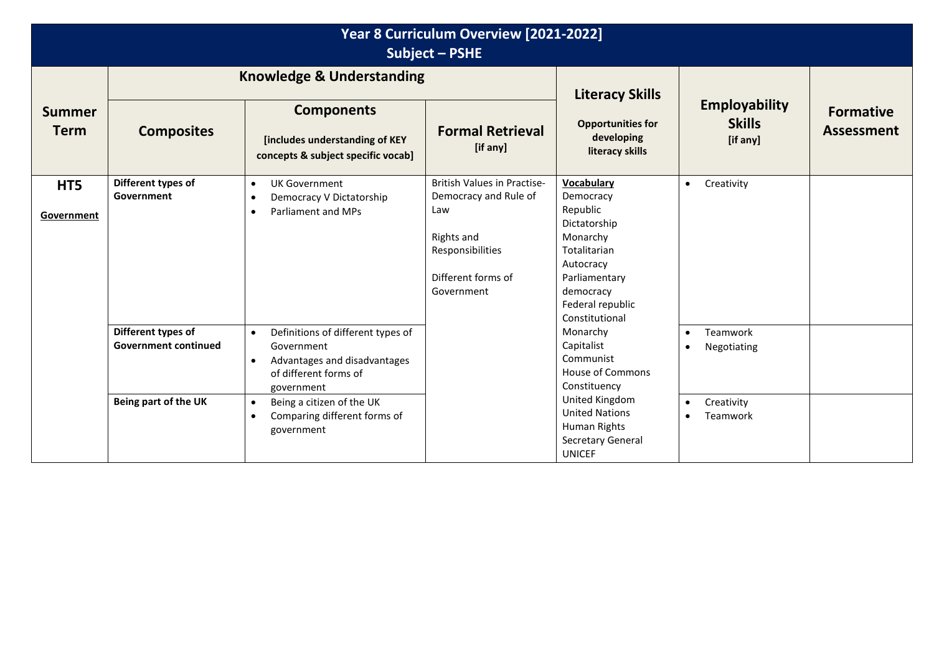| Year 8 Curriculum Overview [2021-2022]<br><b>Subject - PSHE</b> |                                                                                                                                                                                                                                                                                                                                                                                                                                                                                                                |                                                                                                               |                                                                                                                                   |                                                                                                                                                       |                                                   |                                       |  |  |
|-----------------------------------------------------------------|----------------------------------------------------------------------------------------------------------------------------------------------------------------------------------------------------------------------------------------------------------------------------------------------------------------------------------------------------------------------------------------------------------------------------------------------------------------------------------------------------------------|---------------------------------------------------------------------------------------------------------------|-----------------------------------------------------------------------------------------------------------------------------------|-------------------------------------------------------------------------------------------------------------------------------------------------------|---------------------------------------------------|---------------------------------------|--|--|
|                                                                 | <b>Knowledge &amp; Understanding</b>                                                                                                                                                                                                                                                                                                                                                                                                                                                                           |                                                                                                               |                                                                                                                                   | <b>Literacy Skills</b>                                                                                                                                |                                                   |                                       |  |  |
| <b>Summer</b><br><b>Term</b>                                    | <b>Composites</b>                                                                                                                                                                                                                                                                                                                                                                                                                                                                                              | <b>Components</b><br>[includes understanding of KEY<br>concepts & subject specific vocab]                     | <b>Formal Retrieval</b><br>[if any]                                                                                               | <b>Opportunities for</b><br>developing<br>literacy skills                                                                                             | <b>Employability</b><br><b>Skills</b><br>[if any] | <b>Formative</b><br><b>Assessment</b> |  |  |
| HT5<br>Government                                               | Different types of<br>Government                                                                                                                                                                                                                                                                                                                                                                                                                                                                               | <b>UK Government</b><br>$\bullet$<br>Democracy V Dictatorship<br>$\bullet$<br>Parliament and MPs<br>$\bullet$ | British Values in Practise-<br>Democracy and Rule of<br>Law<br>Rights and<br>Responsibilities<br>Different forms of<br>Government | <b>Vocabulary</b><br>Democracy<br>Republic<br>Dictatorship<br>Monarchy<br>Totalitarian<br>Autocracy<br>Parliamentary<br>democracy<br>Federal republic | Creativity<br>$\bullet$                           |                                       |  |  |
|                                                                 | Different types of<br>Definitions of different types of<br>Monarchy<br>$\bullet$<br>Capitalist<br><b>Government continued</b><br>Government<br>Communist<br>Advantages and disadvantages<br>$\bullet$<br>House of Commons<br>of different forms of<br>Constituency<br>government<br>United Kingdom<br>Being part of the UK<br>Being a citizen of the UK<br>$\bullet$<br><b>United Nations</b><br>Comparing different forms of<br>$\bullet$<br>Human Rights<br>government<br>Secretary General<br><b>UNICEF</b> | Constitutional                                                                                                | Teamwork<br>$\bullet$<br>Negotiating<br>$\bullet$                                                                                 |                                                                                                                                                       |                                                   |                                       |  |  |
|                                                                 |                                                                                                                                                                                                                                                                                                                                                                                                                                                                                                                |                                                                                                               |                                                                                                                                   | Creativity<br>$\bullet$<br>Teamwork<br>$\bullet$                                                                                                      |                                                   |                                       |  |  |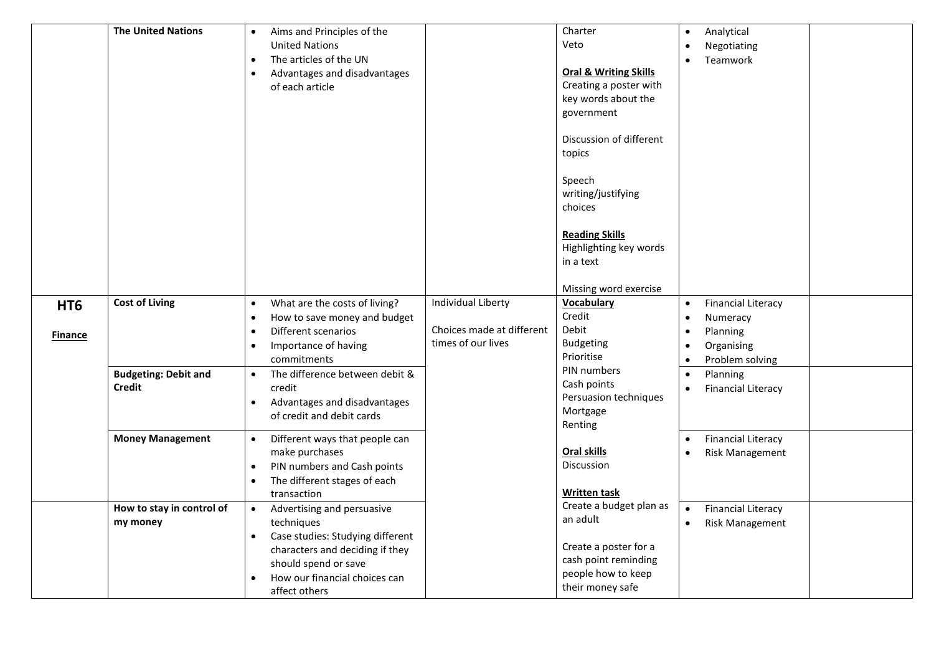|                                   | <b>The United Nations</b>                    | Aims and Principles of the<br><b>United Nations</b><br>The articles of the UN<br>$\bullet$<br>Advantages and disadvantages<br>$\bullet$<br>of each article                                                          |                                                                       | Charter<br>Veto<br><b>Oral &amp; Writing Skills</b><br>Creating a poster with<br>key words about the<br>government<br>Discussion of different<br>topics<br>Speech<br>writing/justifying<br>choices<br><b>Reading Skills</b><br>Highlighting key words<br>in a text<br>Missing word exercise | $\bullet$                                        | Analytical<br>Negotiating<br>Teamwork                                              |  |
|-----------------------------------|----------------------------------------------|---------------------------------------------------------------------------------------------------------------------------------------------------------------------------------------------------------------------|-----------------------------------------------------------------------|---------------------------------------------------------------------------------------------------------------------------------------------------------------------------------------------------------------------------------------------------------------------------------------------|--------------------------------------------------|------------------------------------------------------------------------------------|--|
| HT <sub>6</sub><br><b>Finance</b> | <b>Cost of Living</b>                        | What are the costs of living?<br>$\bullet$<br>How to save money and budget<br>$\bullet$<br>Different scenarios<br>$\bullet$<br>Importance of having<br>$\bullet$<br>commitments                                     | Individual Liberty<br>Choices made at different<br>times of our lives | Vocabulary<br>Credit<br>Debit<br><b>Budgeting</b><br>Prioritise                                                                                                                                                                                                                             | $\bullet$<br>$\bullet$<br>$\bullet$<br>$\bullet$ | <b>Financial Literacy</b><br>Numeracy<br>Planning<br>Organising<br>Problem solving |  |
|                                   | <b>Budgeting: Debit and</b><br><b>Credit</b> | The difference between debit &<br>$\bullet$<br>credit<br>Advantages and disadvantages<br>$\bullet$<br>of credit and debit cards                                                                                     |                                                                       | PIN numbers<br>Cash points<br>Persuasion techniques<br>Mortgage<br>Renting                                                                                                                                                                                                                  | $\bullet$<br>$\bullet$                           | Planning<br><b>Financial Literacy</b>                                              |  |
|                                   | <b>Money Management</b>                      | Different ways that people can<br>$\bullet$<br>make purchases<br>PIN numbers and Cash points<br>$\bullet$<br>The different stages of each<br>$\bullet$<br>transaction                                               |                                                                       | <b>Oral skills</b><br><b>Discussion</b><br><b>Written task</b>                                                                                                                                                                                                                              | $\bullet$                                        | <b>Financial Literacy</b><br><b>Risk Management</b>                                |  |
|                                   | How to stay in control of<br>my money        | Advertising and persuasive<br>$\bullet$<br>techniques<br>Case studies: Studying different<br>$\bullet$<br>characters and deciding if they<br>should spend or save<br>How our financial choices can<br>affect others |                                                                       | Create a budget plan as<br>an adult<br>Create a poster for a<br>cash point reminding<br>people how to keep<br>their money safe                                                                                                                                                              | $\bullet$                                        | <b>Financial Literacy</b><br><b>Risk Management</b>                                |  |